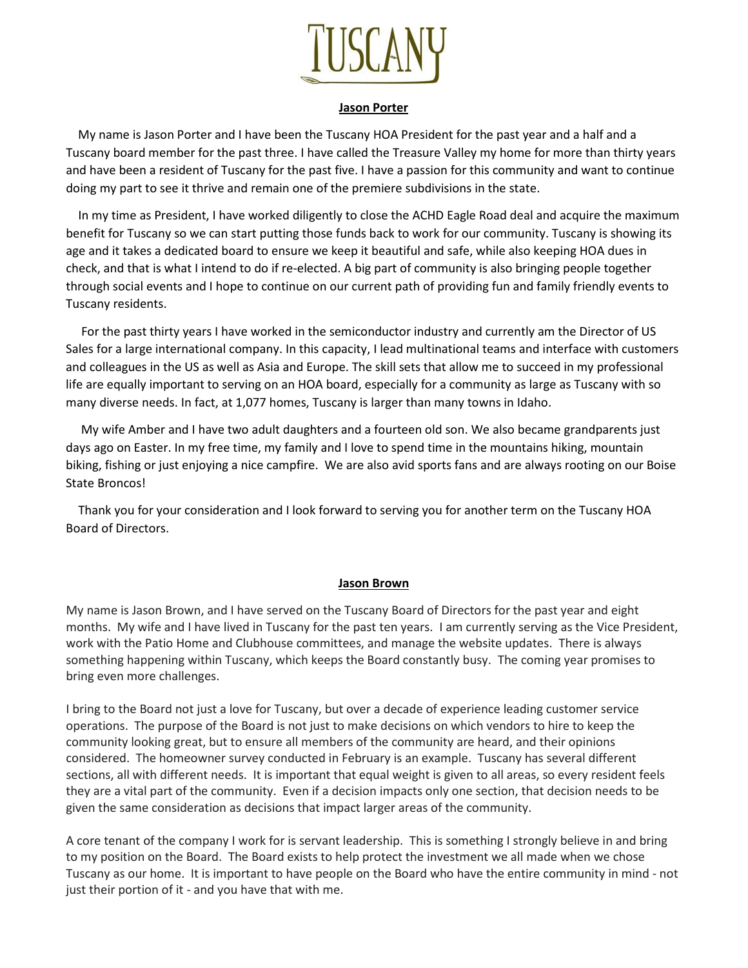

### **Jason Porter**

 My name is Jason Porter and I have been the Tuscany HOA President for the past year and a half and a Tuscany board member for the past three. I have called the Treasure Valley my home for more than thirty years and have been a resident of Tuscany for the past five. I have a passion for this community and want to continue doing my part to see it thrive and remain one of the premiere subdivisions in the state.

 In my time as President, I have worked diligently to close the ACHD Eagle Road deal and acquire the maximum benefit for Tuscany so we can start putting those funds back to work for our community. Tuscany is showing its age and it takes a dedicated board to ensure we keep it beautiful and safe, while also keeping HOA dues in check, and that is what I intend to do if re-elected. A big part of community is also bringing people together through social events and I hope to continue on our current path of providing fun and family friendly events to Tuscany residents.

 For the past thirty years I have worked in the semiconductor industry and currently am the Director of US Sales for a large international company. In this capacity, I lead multinational teams and interface with customers and colleagues in the US as well as Asia and Europe. The skill sets that allow me to succeed in my professional life are equally important to serving on an HOA board, especially for a community as large as Tuscany with so many diverse needs. In fact, at 1,077 homes, Tuscany is larger than many towns in Idaho.

 My wife Amber and I have two adult daughters and a fourteen old son. We also became grandparents just days ago on Easter. In my free time, my family and I love to spend time in the mountains hiking, mountain biking, fishing or just enjoying a nice campfire. We are also avid sports fans and are always rooting on our Boise State Broncos!

 Thank you for your consideration and I look forward to serving you for another term on the Tuscany HOA Board of Directors.

### **Jason Brown**

My name is Jason Brown, and I have served on the Tuscany Board of Directors for the past year and eight months. My wife and I have lived in Tuscany for the past ten years. I am currently serving as the Vice President, work with the Patio Home and Clubhouse committees, and manage the website updates. There is always something happening within Tuscany, which keeps the Board constantly busy. The coming year promises to bring even more challenges.

I bring to the Board not just a love for Tuscany, but over a decade of experience leading customer service operations. The purpose of the Board is not just to make decisions on which vendors to hire to keep the community looking great, but to ensure all members of the community are heard, and their opinions considered. The homeowner survey conducted in February is an example. Tuscany has several different sections, all with different needs. It is important that equal weight is given to all areas, so every resident feels they are a vital part of the community. Even if a decision impacts only one section, that decision needs to be given the same consideration as decisions that impact larger areas of the community.

A core tenant of the company I work for is servant leadership. This is something I strongly believe in and bring to my position on the Board. The Board exists to help protect the investment we all made when we chose Tuscany as our home. It is important to have people on the Board who have the entire community in mind - not just their portion of it - and you have that with me.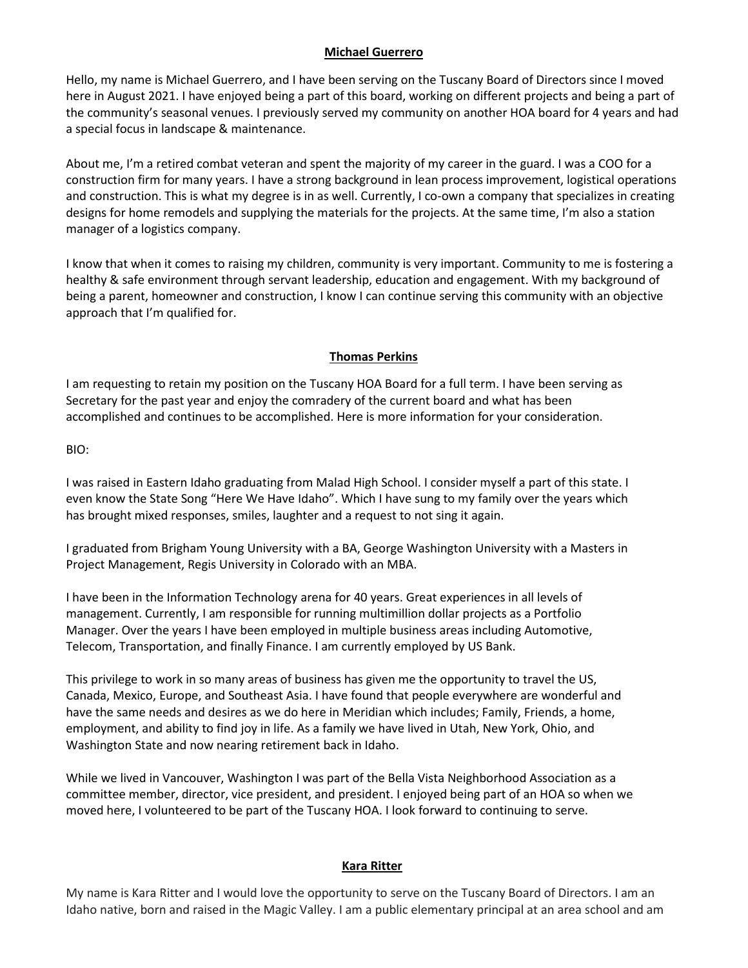### **Michael Guerrero**

Hello, my name is Michael Guerrero, and I have been serving on the Tuscany Board of Directors since I moved here in August 2021. I have enjoyed being a part of this board, working on different projects and being a part of the community's seasonal venues. I previously served my community on another HOA board for 4 years and had a special focus in landscape & maintenance.

About me, I'm a retired combat veteran and spent the majority of my career in the guard. I was a COO for a construction firm for many years. I have a strong background in lean process improvement, logistical operations and construction. This is what my degree is in as well. Currently, I co-own a company that specializes in creating designs for home remodels and supplying the materials for the projects. At the same time, I'm also a station manager of a logistics company.

I know that when it comes to raising my children, community is very important. Community to me is fostering a healthy & safe environment through servant leadership, education and engagement. With my background of being a parent, homeowner and construction, I know I can continue serving this community with an objective approach that I'm qualified for.

## **Thomas Perkins**

I am requesting to retain my position on the Tuscany HOA Board for a full term. I have been serving as Secretary for the past year and enjoy the comradery of the current board and what has been accomplished and continues to be accomplished. Here is more information for your consideration.

BIO:

I was raised in Eastern Idaho graduating from Malad High School. I consider myself a part of this state. I even know the State Song "Here We Have Idaho". Which I have sung to my family over the years which has brought mixed responses, smiles, laughter and a request to not sing it again.

I graduated from Brigham Young University with a BA, George Washington University with a Masters in Project Management, Regis University in Colorado with an MBA.

I have been in the Information Technology arena for 40 years. Great experiences in all levels of management. Currently, I am responsible for running multimillion dollar projects as a Portfolio Manager. Over the years I have been employed in multiple business areas including Automotive, Telecom, Transportation, and finally Finance. I am currently employed by US Bank.

This privilege to work in so many areas of business has given me the opportunity to travel the US, Canada, Mexico, Europe, and Southeast Asia. I have found that people everywhere are wonderful and have the same needs and desires as we do here in Meridian which includes; Family, Friends, a home, employment, and ability to find joy in life. As a family we have lived in Utah, New York, Ohio, and Washington State and now nearing retirement back in Idaho.

While we lived in Vancouver, Washington I was part of the Bella Vista Neighborhood Association as a committee member, director, vice president, and president. I enjoyed being part of an HOA so when we moved here, I volunteered to be part of the Tuscany HOA. I look forward to continuing to serve.

## **Kara Ritter**

My name is Kara Ritter and I would love the opportunity to serve on the Tuscany Board of Directors. I am an Idaho native, born and raised in the Magic Valley. I am a public elementary principal at an area school and am